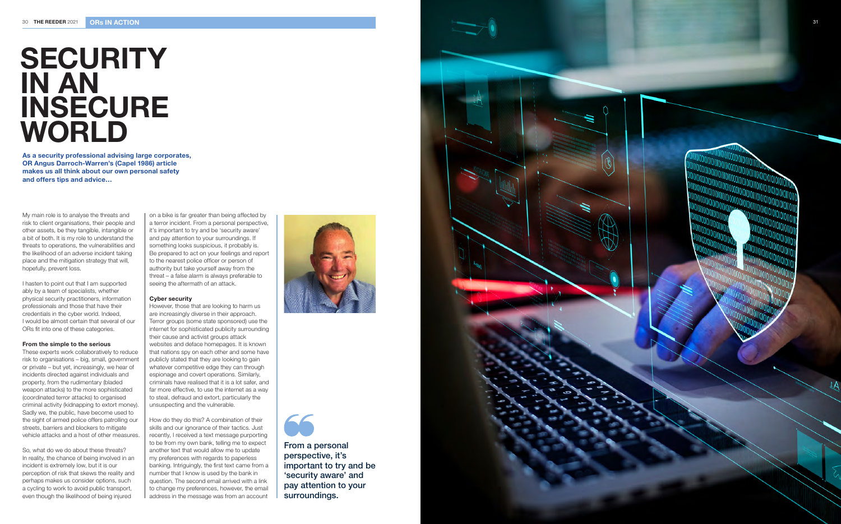

As a security professional advising large corporates, OR Angus Darroch-Warren's (Capel 1986) article makes us all think about our own personal safety and offers tips and advice…

My main role is to analyse the threats and risk to client organisations, their people and other assets, be they tangible, intangible or a bit of both. It is my role to understand the threats to operations, the vulnerabilities and the likelihood of an adverse incident taking place and the mitigation strategy that will, hopefully, prevent loss.

I hasten to point out that I am supported ably by a team of specialists, whether physical security practitioners, information professionals and those that have their credentials in the cyber world. Indeed, I would be almost certain that several of our ORs fit into one of these categories.

### From the simple to the serious

These experts work collaboratively to reduce risk to organisations – big, small, government or private – but yet, increasingly, we hear of incidents directed against individuals and property, from the rudimentary (bladed weapon attacks) to the more sophisticated (coordinated terror attacks) to organised criminal activity (kidnapping to extort money). Sadly we, the public, have become used to the sight of armed police offers patrolling our streets, barriers and blockers to mitigate vehicle attacks and a host of other measures.

So, what do we do about these threats? In reality, the chance of being involved in an incident is extremely low, but it is our perception of risk that skews the reality and perhaps makes us consider options, such a cycling to work to avoid public transport, even though the likelihood of being injured

# **SECURITY** IN AN INSECURE WORLD

on a bike is far greater than being affected by a terror incident. From a personal perspective, it's important to try and be 'security aware' and pay attention to your surroundings. If something looks suspicious, it probably is. Be prepared to act on your feelings and report to the nearest police officer or person of authority but take yourself away from the threat – a false alarm is always preferable to seeing the aftermath of an attack.

#### Cyber security

However, those that are looking to harm us are increasingly diverse in their approach. Terror groups (some state sponsored) use the internet for sophisticated publicity surrounding their cause and activist groups attack websites and deface homepages. It is known that nations spy on each other and some have publicly stated that they are looking to gain whatever competitive edge they can through espionage and covert operations. Similarly, criminals have realised that it is a lot safer, and far more effective, to use the internet as a way to steal, defraud and extort, particularly the unsuspecting and the vulnerable.

How do they do this? A combination of their skills and our ignorance of their tactics. Just recently, I received a text message purporting to be from my own bank, telling me to expect another text that would allow me to update my preferences with regards to paperless banking. Intriguingly, the first text came from a number that I know is used by the bank in question. The second email arrived with a link to change my preferences, however, the email address in the message was from an account





From a personal perspective, it's important to try and be 'security aware' and pay attention to your surroundings.